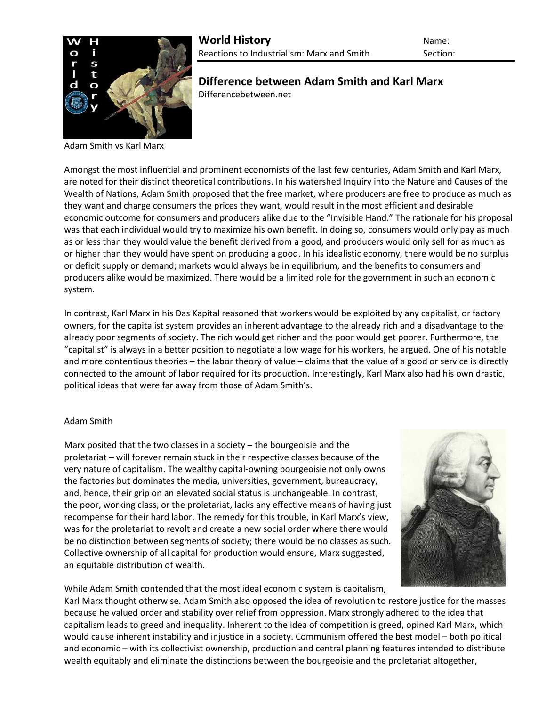

**Difference between Adam Smith and Karl Marx** Differencebetween.net

Adam Smith vs Karl Marx

Amongst the most influential and prominent economists of the last few centuries, Adam Smith and Karl Marx, are noted for their distinct theoretical contributions. In his watershed Inquiry into the Nature and Causes of the Wealth of Nations, Adam Smith proposed that the free market, where producers are free to produce as much as they want and charge consumers the prices they want, would result in the most efficient and desirable economic outcome for consumers and producers alike due to the "Invisible Hand." The rationale for his proposal was that each individual would try to maximize his own benefit. In doing so, consumers would only pay as much as or less than they would value the benefit derived from a good, and producers would only sell for as much as or higher than they would have spent on producing a good. In his idealistic economy, there would be no surplus or deficit supply or demand; markets would always be in equilibrium, and the benefits to consumers and producers alike would be maximized. There would be a limited role for the government in such an economic system.

In contrast, Karl Marx in his Das Kapital reasoned that workers would be exploited by any capitalist, or factory owners, for the capitalist system provides an inherent advantage to the already rich and a disadvantage to the already poor segments of society. The rich would get richer and the poor would get poorer. Furthermore, the "capitalist" is always in a better position to negotiate a low wage for his workers, he argued. One of his notable and more contentious theories – the labor theory of value – claims that the value of a good or service is directly connected to the amount of labor required for its production. Interestingly, Karl Marx also had his own drastic, political ideas that were far away from those of Adam Smith's.

## Adam Smith

Marx posited that the two classes in a society – the bourgeoisie and the proletariat – will forever remain stuck in their respective classes because of the very nature of capitalism. The wealthy capital-owning bourgeoisie not only owns the factories but dominates the media, universities, government, bureaucracy, and, hence, their grip on an elevated social status is unchangeable. In contrast, the poor, working class, or the proletariat, lacks any effective means of having just recompense for their hard labor. The remedy for this trouble, in Karl Marx's view, was for the proletariat to revolt and create a new social order where there would be no distinction between segments of society; there would be no classes as such. Collective ownership of all capital for production would ensure, Marx suggested, an equitable distribution of wealth.



While Adam Smith contended that the most ideal economic system is capitalism,

Karl Marx thought otherwise. Adam Smith also opposed the idea of revolution to restore justice for the masses because he valued order and stability over relief from oppression. Marx strongly adhered to the idea that capitalism leads to greed and inequality. Inherent to the idea of competition is greed, opined Karl Marx, which would cause inherent instability and injustice in a society. Communism offered the best model – both political and economic – with its collectivist ownership, production and central planning features intended to distribute wealth equitably and eliminate the distinctions between the bourgeoisie and the proletariat altogether,